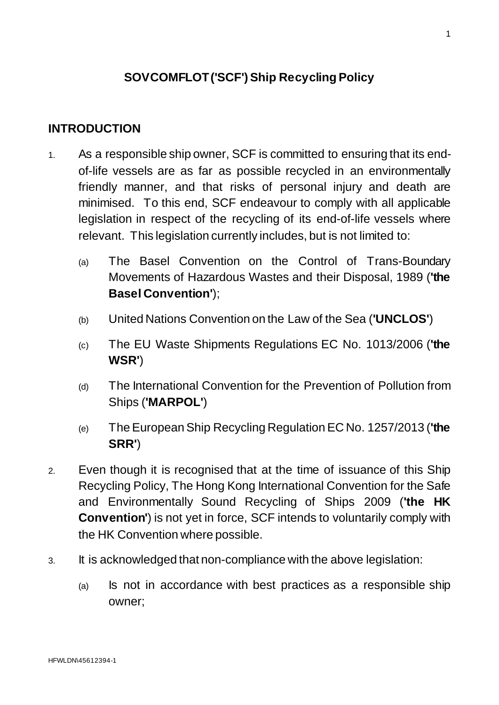# **SOVCOMFLOT ('SCF') Ship Recycling Policy**

# **INTRODUCTION**

- 1. As a responsible ship owner, SCF is committed to ensuring that its endof-life vessels are as far as possible recycled in an environmentally friendly manner, and that risks of personal injury and death are minimised. To this end, SCF endeavour to comply with all applicable legislation in respect of the recycling of its end-of-life vessels where relevant. This legislation currently includes, but is not limited to:
	- (a) The Basel Convention on the Control of Trans-Boundary Movements of Hazardous Wastes and their Disposal, 1989 (**'the Basel Convention'**);
	- (b) United Nations Convention on the Law of the Sea (**'UNCLOS'**)
	- (c) The EU Waste Shipments Regulations EC No. 1013/2006 (**'the WSR'**)
	- (d) The International Convention for the Prevention of Pollution from Ships (**'MARPOL'**)
	- (e) The European Ship Recycling Regulation EC No. 1257/2013 (**'the SRR'**)
- 2. Even though it is recognised that at the time of issuance of this Ship Recycling Policy, The Hong Kong International Convention for the Safe and Environmentally Sound Recycling of Ships 2009 (**'the HK Convention'**) is not yet in force, SCF intends to voluntarily comply with the HK Convention where possible.
- 3. It is acknowledged that non-compliance with the above legislation:
	- (a) Is not in accordance with best practices as a responsible ship owner;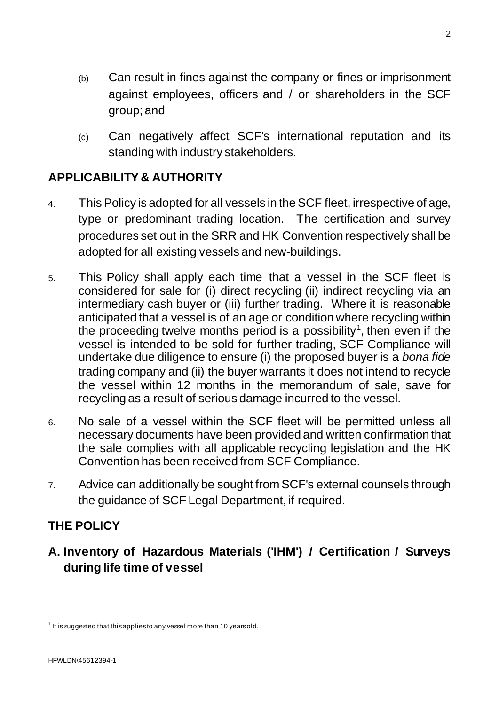- (b) Can result in fines against the company or fines or imprisonment against employees, officers and / or shareholders in the SCF group; and
- (c) Can negatively affect SCF's international reputation and its standing with industry stakeholders.

# **APPLICABILITY & AUTHORITY**

- 4. This Policy is adopted for all vessels in the SCF fleet, irrespective of age, type or predominant trading location. The certification and survey procedures set out in the SRR and HK Convention respectively shall be adopted for all existing vessels and new-buildings.
- 5. This Policy shall apply each time that a vessel in the SCF fleet is considered for sale for (i) direct recycling (ii) indirect recycling via an intermediary cash buyer or (iii) further trading. Where it is reasonable anticipated that a vessel is of an age or condition where recycling within the proceeding twelve months period is a possibility<sup>[1](#page-1-0)</sup>, then even if the vessel is intended to be sold for further trading, SCF Compliance will undertake due diligence to ensure (i) the proposed buyer is a *bona fide*  trading company and (ii) the buyer warrants it does not intend to recycle the vessel within 12 months in the memorandum of sale, save for recycling as a result of serious damage incurred to the vessel.
- 6. No sale of a vessel within the SCF fleet will be permitted unless all necessary documents have been provided and written confirmation that the sale complies with all applicable recycling legislation and the HK Convention has been received from SCF Compliance.
- 7. Advice can additionally be sought from SCF's external counsels through the guidance of SCF Legal Department, if required.

# **THE POLICY**

**A. Inventory of Hazardous Materials ('IHM') / Certification / Surveys during life time of vessel**

<span id="page-1-0"></span> $1$  It is suggested that this applies to any vessel more than 10 years old.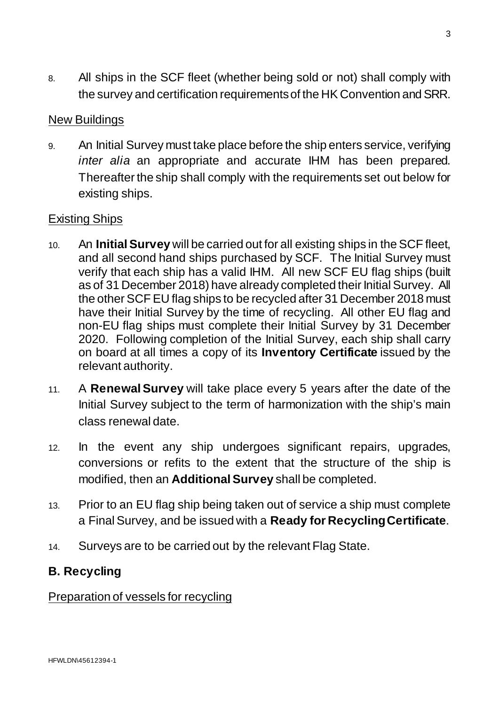8. All ships in the SCF fleet (whether being sold or not) shall comply with the survey and certification requirements of the HK Convention and SRR.

## New Buildings

9. An Initial Survey must take place before the ship enters service, verifying *inter alia* an appropriate and accurate IHM has been prepared. Thereafter the ship shall comply with the requirements set out below for existing ships.

## Existing Ships

- 10. An **Initial Survey** will be carried out for all existing ships in the SCF fleet, and all second hand ships purchased by SCF. The Initial Survey must verify that each ship has a valid IHM. All new SCF EU flag ships (built as of 31 December 2018) have already completed their Initial Survey. All the other SCF EU flag ships to be recycled after 31 December 2018 must have their Initial Survey by the time of recycling. All other EU flag and non-EU flag ships must complete their Initial Survey by 31 December 2020. Following completion of the Initial Survey, each ship shall carry on board at all times a copy of its **Inventory Certificate** issued by the relevant authority.
- 11. A **Renewal Survey** will take place every 5 years after the date of the Initial Survey subject to the term of harmonization with the ship's main class renewal date.
- 12. In the event any ship undergoes significant repairs, upgrades, conversions or refits to the extent that the structure of the ship is modified, then an **Additional Survey** shall be completed.
- 13. Prior to an EU flag ship being taken out of service a ship must complete a Final Survey, and be issued with a **Ready for Recycling Certificate**.
- 14. Surveys are to be carried out by the relevant Flag State.

# **B. Recycling**

#### Preparation of vessels for recycling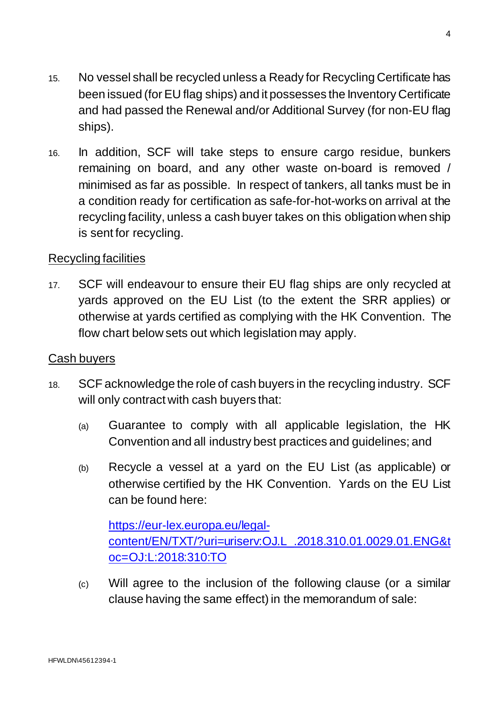16. In addition, SCF will take steps to ensure cargo residue, bunkers remaining on board, and any other waste on-board is removed / minimised as far as possible. In respect of tankers, all tanks must be in a condition ready for certification as safe-for-hot-works on arrival at the recycling facility, unless a cash buyer takes on this obligation when ship is sent for recycling.

## Recycling facilities

17. SCF will endeavour to ensure their EU flag ships are only recycled at yards approved on the EU List (to the extent the SRR applies) or otherwise at yards certified as complying with the HK Convention. The flow chart below sets out which legislation may apply.

### Cash buyers

- 18. SCF acknowledge the role of cash buyers in the recycling industry. SCF will only contract with cash buyers that:
	- (a) Guarantee to comply with all applicable legislation, the HK Convention and all industry best practices and guidelines; and
	- (b) Recycle a vessel at a yard on the EU List (as applicable) or otherwise certified by the HK Convention. Yards on the EU List can be found here:

[https://eur-lex.europa.eu/legal](https://eur-lex.europa.eu/legal-content/EN/TXT/?uri=uriserv:OJ.L_.2018.310.01.0029.01.ENG&toc=OJ:L:2018:310:TO)[content/EN/TXT/?uri=uriserv:OJ.L\\_.2018.310.01.0029.01.ENG&t](https://eur-lex.europa.eu/legal-content/EN/TXT/?uri=uriserv:OJ.L_.2018.310.01.0029.01.ENG&toc=OJ:L:2018:310:TO) [oc=OJ:L:2018:310:TO](https://eur-lex.europa.eu/legal-content/EN/TXT/?uri=uriserv:OJ.L_.2018.310.01.0029.01.ENG&toc=OJ:L:2018:310:TO)

(c) Will agree to the inclusion of the following clause (or a similar clause having the same effect) in the memorandum of sale: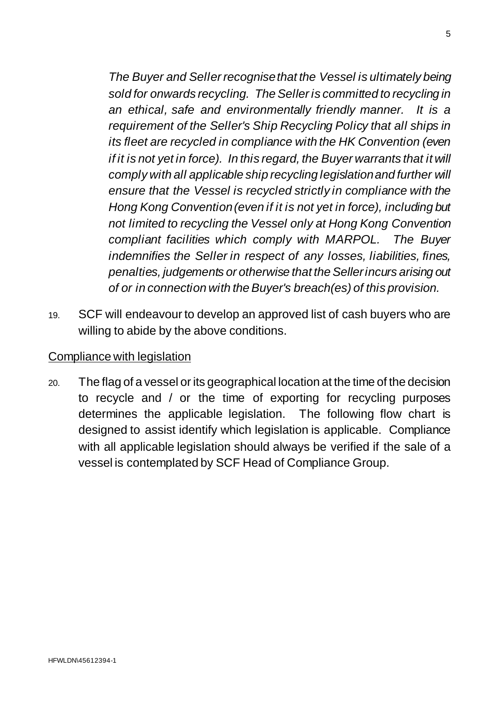*The Buyer and Seller recognise that the Vessel is ultimately being sold for onwards recycling. The Seller is committed to recycling in an ethical, safe and environmentally friendly manner. It is a requirement of the Seller's Ship Recycling Policy that all ships in its fleet are recycled in compliance with the HK Convention (even if it is not yet in force). In this regard, the Buyer warrants that it will comply with all applicable ship recycling legislation and further will ensure that the Vessel is recycled strictly in compliance with the Hong Kong Convention (even if it is not yet in force), including but not limited to recycling the Vessel only at Hong Kong Convention compliant facilities which comply with MARPOL. The Buyer indemnifies the Seller in respect of any losses, liabilities, fines, penalties, judgements or otherwise that the Seller incurs arising out of or in connection with the Buyer's breach(es) of this provision.*

19. SCF will endeavour to develop an approved list of cash buyers who are willing to abide by the above conditions.

#### Compliance with legislation

20. The flag of a vessel or its geographical location at the time of the decision to recycle and / or the time of exporting for recycling purposes determines the applicable legislation. The following flow chart is designed to assist identify which legislation is applicable. Compliance with all applicable legislation should always be verified if the sale of a vessel is contemplated by SCF Head of Compliance Group.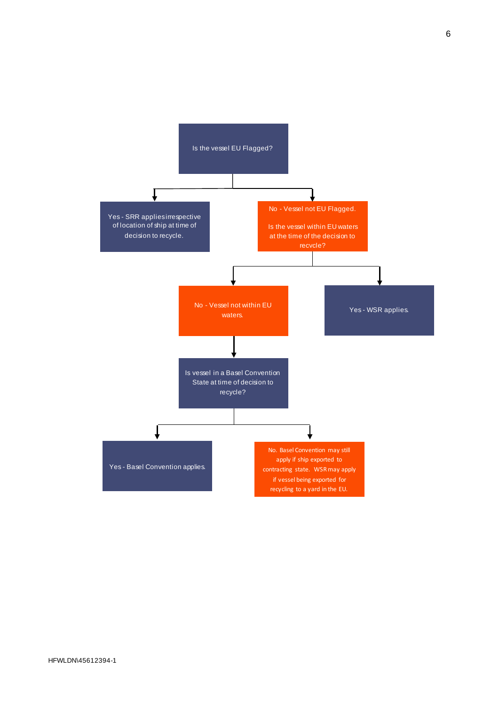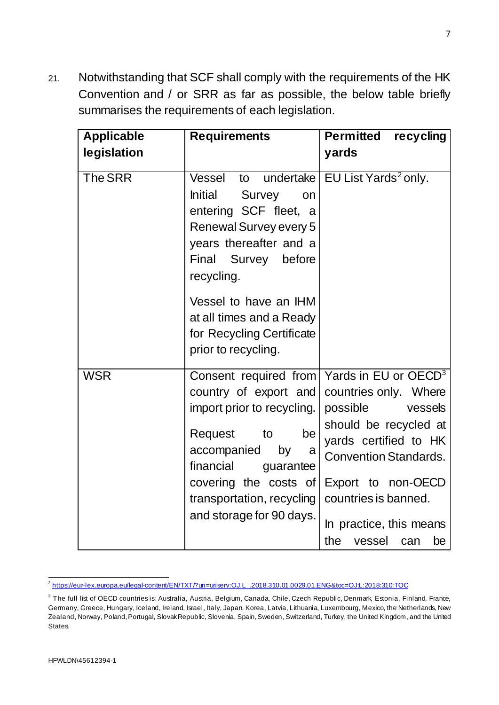21. Notwithstanding that SCF shall comply with the requirements of the HK Convention and / or SRR as far as possible, the below table briefly summarises the requirements of each legislation.

| <b>Applicable</b> | <b>Requirements</b>                                                                                                                                                                                              | <b>Permitted recycling</b>                                                                                                                                                                                                                                                                     |
|-------------------|------------------------------------------------------------------------------------------------------------------------------------------------------------------------------------------------------------------|------------------------------------------------------------------------------------------------------------------------------------------------------------------------------------------------------------------------------------------------------------------------------------------------|
| legislation       |                                                                                                                                                                                                                  | yards                                                                                                                                                                                                                                                                                          |
| <b>The SRR</b>    | Vessel<br>Initial<br><b>Survey</b><br>on<br>entering SCF fleet, a<br>Renewal Survey every 5<br>years thereafter and a<br>Final Survey before<br>recycling.<br>Vessel to have an IHM                              | to undertake   EU List Yards <sup>2</sup> only.                                                                                                                                                                                                                                                |
|                   | at all times and a Ready<br>for Recycling Certificate<br>prior to recycling.                                                                                                                                     |                                                                                                                                                                                                                                                                                                |
| <b>WSR</b>        | country of export and<br>import prior to recycling.<br>Request<br>to<br>be<br>accompanied<br>by<br>a<br>financial<br>guarantee<br>covering the costs of<br>transportation, recycling<br>and storage for 90 days. | Consent required from   Yards in EU or OECD <sup>3</sup><br>countries only. Where<br>possible vessels<br>should be recycled at<br>yards certified to HK<br><b>Convention Standards.</b><br>Export to non-OECD<br>countries is banned.<br>In practice, this means<br>the<br>vessel<br>be<br>can |

<span id="page-6-0"></span> <sup>2</sup> [https://eur-lex.europa.eu/legal-content/EN/TXT/?uri=uriserv:OJ.L\\_.2018.310.01.0029.01.ENG&toc=OJ:L:2018:310:TOC](https://eur-lex.europa.eu/legal-content/EN/TXT/?uri=uriserv:OJ.L_.2018.310.01.0029.01.ENG&toc=OJ:L:2018:310:TOC)

<span id="page-6-1"></span><sup>&</sup>lt;sup>3</sup> The full list of OECD countries is: Australia, Austria, Belgium, Canada, Chile, Czech Republic, Denmark, Estonia, Finland, France, Germany, Greece, Hungary, Iceland, Ireland, Israel, Italy, Japan, Korea, Latvia, Lithuania, Luxembourg, Mexico, the Netherlands, New Zealand, Norway, Poland, Portugal, Slovak Republic, Slovenia, Spain, Sweden, Switzerland, Turkey, the United Kingdom, and the United States.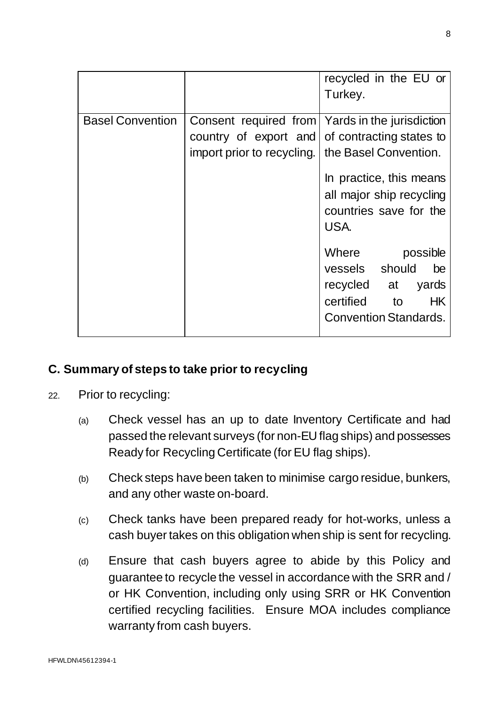|                         |                                                                                                                                                           | recycled in the EU or<br>Turkey.                                                                                                                                                                                        |
|-------------------------|-----------------------------------------------------------------------------------------------------------------------------------------------------------|-------------------------------------------------------------------------------------------------------------------------------------------------------------------------------------------------------------------------|
| <b>Basel Convention</b> | Consent required from   Yards in the jurisdiction<br>country of export and of contracting states to<br>import prior to recycling. I the Basel Convention. | In practice, this means<br>all major ship recycling<br>countries save for the<br>USA.<br>Where possible<br>vessels should<br>be<br>recycled at<br>yards<br><b>HK</b><br>certified<br>to<br><b>Convention Standards.</b> |

## **C. Summary of steps to take prior to recycling**

- 22. Prior to recycling:
	- (a) Check vessel has an up to date Inventory Certificate and had passed the relevant surveys (for non-EU flag ships) and possesses Ready for Recycling Certificate (for EU flag ships).
	- (b) Check steps have been taken to minimise cargo residue, bunkers, and any other waste on-board.
	- (c) Check tanks have been prepared ready for hot-works, unless a cash buyer takes on this obligation when ship is sent for recycling.
	- (d) Ensure that cash buyers agree to abide by this Policy and guarantee to recycle the vessel in accordance with the SRR and / or HK Convention, including only using SRR or HK Convention certified recycling facilities. Ensure MOA includes compliance warranty from cash buyers.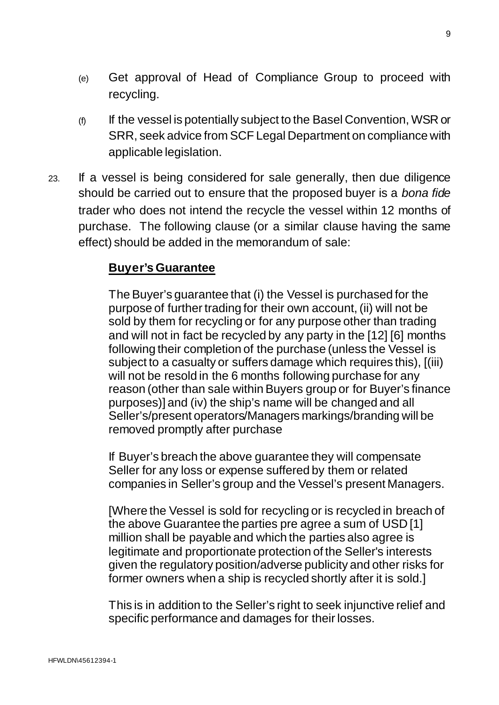- (e) Get approval of Head of Compliance Group to proceed with recycling.
- (f) If the vessel is potentially subject to the Basel Convention, WSR or SRR, seek advice from SCF Legal Department on compliance with applicable legislation.
- 23. If a vessel is being considered for sale generally, then due diligence should be carried out to ensure that the proposed buyer is a *bona fide*  trader who does not intend the recycle the vessel within 12 months of purchase. The following clause (or a similar clause having the same effect) should be added in the memorandum of sale:

# **Buyer's Guarantee**

The Buyer's guarantee that (i) the Vessel is purchased for the purpose of further trading for their own account, (ii) will not be sold by them for recycling or for any purpose other than trading and will not in fact be recycled by any party in the [12] [6] months following their completion of the purchase (unless the Vessel is subject to a casualty or suffers damage which requires this), [(iii) will not be resold in the 6 months following purchase for any reason (other than sale within Buyers group or for Buyer's finance purposes)] and (iv) the ship's name will be changed and all Seller's/present operators/Managers markings/branding will be removed promptly after purchase

If Buyer's breach the above guarantee they will compensate Seller for any loss or expense suffered by them or related companies in Seller's group and the Vessel's present Managers.

[Where the Vessel is sold for recycling or is recycled in breach of the above Guarantee the parties pre agree a sum of USD [1] million shall be payable and which the parties also agree is legitimate and proportionate protection of the Seller's interests given the regulatory position/adverse publicity and other risks for former owners when a ship is recycled shortly after it is sold.]

This is in addition to the Seller's right to seek injunctive relief and specific performance and damages for their losses.